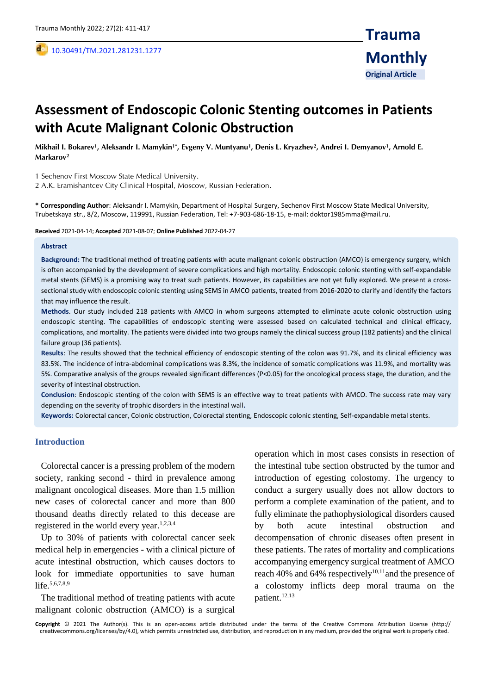,

# **Assessment of Endoscopic Colonic Stenting outcomes in Patients with Acute Malignant Colonic Obstruction**

**Mikhail I. Bokarev<sup>1</sup> , Aleksandr I. Mamykin1\*, Evgeny V. Muntyanu<sup>1</sup> , Denis L. Kryazhev<sup>2</sup> , Andrei I. Demyanov<sup>1</sup> , Arnold E. Markarov<sup>2</sup>**

1 Sechenov First Moscow State Medical University.

2 A.K. Eramishantcev City Clinical Hospital, Moscow, Russian Federation.

**\* Corresponding Author**: Aleksandr I. Mamykin, Department of Hospital Surgery, Sechenov First Moscow State Medical University, Trubetskaya str., 8/2, Moscow, 119991, Russian Federation, Tel: +7-903-686-18-15, e-mail: doktor1985mma@mail.ru.

**Received** 2021-04-14; **Accepted** 2021-08-07; **Online Published** 2022-04-27

#### **Abstract**

**Background:** The traditional method of treating patients with acute malignant colonic obstruction (AMCO) is emergency surgery, which is often accompanied by the development of severe complications and high mortality. Endoscopic colonic stenting with self-expandable metal stents (SEMS) is a promising way to treat such patients. However, its capabilities are not yet fully explored. We present a crosssectional study with endoscopic colonic stenting using SEMS in AMCO patients, treated from 2016-2020 to clarify and identify the factors that may influence the result.

**Methods**. Our study included 218 patients with AMCO in whom surgeons attempted to eliminate acute colonic obstruction using endoscopic stenting. The capabilities of endoscopic stenting were assessed based on calculated technical and clinical efficacy, complications, and mortality. The patients were divided into two groups namely the clinical success group (182 patients) and the clinical failure group (36 patients).

**Results**: The results showed that the technical efficiency of endoscopic stenting of the colon was 91.7%, and its clinical efficiency was 83.5%. The incidence of intra-abdominal complications was 8.3%, the incidence of somatic complications was 11.9%, and mortality was 5%. Comparative analysis of the groups revealed significant differences (P<0.05) for the oncological process stage, the duration, and the severity of intestinal obstruction.

**Conclusion**: Endoscopic stenting of the colon with SEMS is an effective way to treat patients with AMCO. The success rate may vary depending on the severity of trophic disorders in the intestinal wall**.**

**Keywords:** Сolorectal cancer, Colonic obstruction, Colorectal stenting, Endoscopic colonic stenting, Self-expandable metal stents.

#### **Introduction**

Colorectal cancer is a pressing problem of the modern society, ranking second - third in prevalence among malignant oncological diseases. More than 1.5 million new cases of colorectal cancer and more than 800 thousand deaths directly related to this decease are registered in the world every year.<sup>1,2,3,4</sup>

Up to 30% of patients with colorectal cancer seek medical help in emergencies - with a clinical picture of acute intestinal obstruction, which causes doctors to look for immediate opportunities to save human life.<sup>5,6,7,8,9</sup>

The traditional method of treating patients with acute malignant colonic obstruction (AMCO) is a surgical

operation which in most cases consists in resection of the intestinal tube section obstructed by the tumor and introduction of egesting colostomy. The urgency to conduct a surgery usually does not allow doctors to perform a complete examination of the patient, and to fully eliminate the pathophysiological disorders caused by both acute intestinal obstruction and decompensation of chronic diseases often present in these patients. The rates of mortality and complications accompanying emergency surgical treatment of AMCO reach 40% and 64% respectively<sup>10,11</sup> and the presence of a colostomy inflicts deep moral trauma on the patient.12,13

**Copyright** © 2021 The Author(s). This is an open-access article distributed under the terms of the Creative Commons Attribution License (http:// creativecommons.org/licenses/by/4.0), which permits unrestricted use, distribution, and reproduction in any medium, provided the original work is properly cited.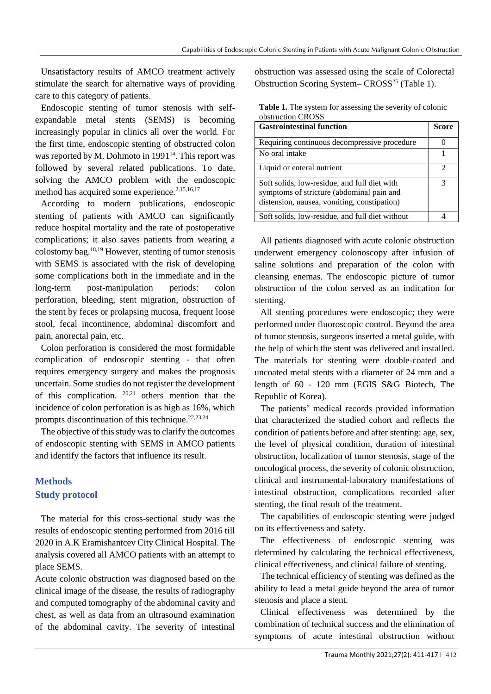symptoms of stricture

Unsatisfactory results of AMCO treatment actively stimulate the search for alternative ways of providing care to this category of patients.

Endoscopic stenting of tumor stenosis with selfexpandable metal stents (SEMS) is becoming increasingly popular in clinics all over the world. For the first time, endoscopic stenting of obstructed colon was reported by M. Dohmoto in  $1991<sup>14</sup>$ . This report was followed by several related publications. To date, solving the AMCO problem with the endoscopic method has acquired some experience.<sup>2,15,16,17</sup>

According to modern publications, endoscopic stenting of patients with AMCO can significantly reduce hospital mortality and the rate of postoperative complications; it also saves patients from wearing a colostomy bag.18,19 However, stenting of tumor stenosis with SEMS is associated with the risk of developing some complications both in the immediate and in the long-term post-manipulation periods: colon perforation, bleeding, stent migration, obstruction of the stent by feces or prolapsing mucosa, frequent loose stool, fecal incontinence, abdominal discomfort and pain, anorectal pain, etc.

Colon perforation is considered the most formidable complication of endoscopic stenting - that often requires emergency surgery and makes the prognosis uncertain. Some studies do not register the development of this complication. 20,21 others mention that the incidence of colon perforation is as high as 16%, which prompts discontinuation of this technique. $22,23,24$ 

The objective of this study was to clarify the outcomes of endoscopic stenting with SEMS in AMCO patients and identify the factors that influence its result.

# **Methods Study protocol**

The material for this cross-sectional study was the results of endoscopic stenting performed from 2016 till 2020 in A.K Eramishantcev City Clinical Hospital. The analysis covered all AMCO patients with an attempt to place SEMS.

Acute colonic obstruction was diagnosed based on the clinical image of the disease, the results of radiography and computed tomography of the abdominal cavity and chest, as well as data from an ultrasound examination of the abdominal cavity. The severity of intestinal

obstruction was assessed using the scale of Colorectal Obstruction Scoring System– CROSS<sup>25</sup> (Table 1).

| UVSU UVUVII VIVOJJ                                                                                                                       |       |
|------------------------------------------------------------------------------------------------------------------------------------------|-------|
| <b>Gastrointestinal function</b>                                                                                                         | Score |
| Requiring continuous decompressive procedure                                                                                             |       |
| No oral intake                                                                                                                           |       |
| Liquid or enteral nutrient                                                                                                               |       |
| Soft solids, low-residue, and full diet with<br>symptoms of stricture (abdominal pain and<br>distension, nausea, vomiting, constipation) |       |
| Soft solids, low-residue, and full diet without                                                                                          |       |

**Table 1.** The system for assessing the severity of colonic obstruction CROSS

All patients diagnosed with acute colonic obstruction underwent emergency colonoscopy after infusion of saline solutions and preparation of the colon with cleansing enemas. The endoscopic picture of tumor obstruction of the colon served as an indication for stenting.

All stenting procedures were endoscopic; they were performed under fluoroscopic control. Beyond the area of tumor stenosis, surgeons inserted a metal guide, with the help of which the stent was delivered and installed. The materials for stenting were double-coated and uncoated metal stents with a diameter of 24 mm and a length of 60 - 120 mm (EGIS S&G Biotech, The Republic of Korea).

The patients' medical records provided information that characterized the studied cohort and reflects the condition of patients before and after stenting: age, sex, the level of physical condition, duration of intestinal obstruction, localization of tumor stenosis, stage of the oncological process, the severity of colonic obstruction, clinical and instrumental-laboratory manifestations of intestinal obstruction, complications recorded after stenting, the final result of the treatment.

The capabilities of endoscopic stenting were judged on its effectiveness and safety.

The effectiveness of endoscopic stenting was determined by calculating the technical effectiveness, clinical effectiveness, and clinical failure of stenting.

The technical efficiency of stenting was defined as the ability to lead a metal guide beyond the area of tumor stenosis and place a stent.

Clinical effectiveness was determined by the combination of technical success and the elimination of symptoms of acute intestinal obstruction without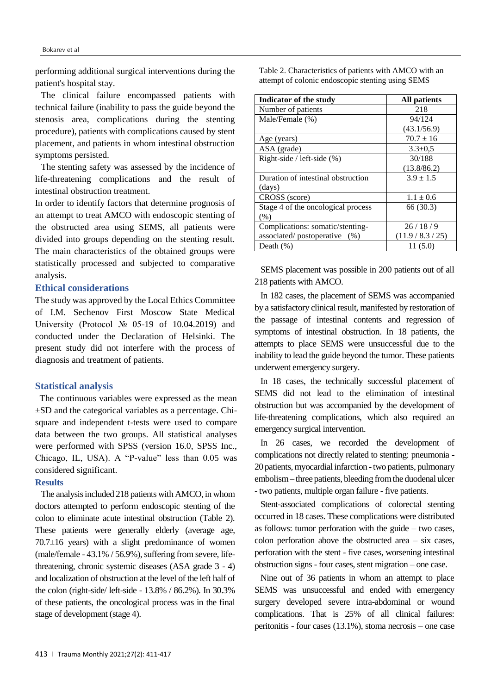performing additional surgical interventions during the patient's hospital stay.

The clinical failure encompassed patients with technical failure (inability to pass the guide beyond the stenosis area, complications during the stenting procedure), patients with complications caused by stent placement, and patients in whom intestinal obstruction symptoms persisted.

The stenting safety was assessed by the incidence of life-threatening complications and the result of intestinal obstruction treatment.

In order to identify factors that determine prognosis of an attempt to treat AMCO with endoscopic stenting of the obstructed area using SEMS, all patients were divided into groups depending on the stenting result. The main characteristics of the obtained groups were statistically processed and subjected to comparative analysis.

## **Ethical considerations**

The study was approved by the Local Ethics Committee of I.M. Sechenov First Moscow State Medical University (Protocol № 05-19 of 10.04.2019) and conducted under the Declaration of Helsinki. The present study did not interfere with the process of diagnosis and treatment of patients.

# **Statistical analysis**

 The continuous variables were expressed as the mean ±SD and the categorical variables as a percentage. Chisquare and independent t-tests were used to compare data between the two groups. All statistical analyses were performed with SPSS (version 16.0, SPSS Inc., Chicago, IL, USA). A "P-value" less than 0.05 was considered significant.

# **Results**

The analysis included 218 patients with AMCO, in whom doctors attempted to perform endoscopic stenting of the colon to eliminate acute intestinal obstruction (Table 2). These patients were generally elderly (average age,  $70.7\pm16$  years) with a slight predominance of women (male/female - 43.1% / 56.9%), suffering from severe, lifethreatening, chronic systemic diseases (ASA grade 3 - 4) and localization of obstruction at the level of the left half of the colon (right-side/ left-side - 13.8% / 86.2%). In 30.3% of these patients, the oncological process was in the final stage of development (stage 4).

Table 2. Characteristics of patients with AMCO with an attempt of colonic endoscopic stenting using SEMS

| Indicator of the study             | <b>All patients</b> |
|------------------------------------|---------------------|
| Number of patients                 | 218                 |
| Male/Female (%)                    | 94/124              |
|                                    | (43.1/56.9)         |
| Age (years)                        | $70.7 \pm 16$       |
| ASA (grade)                        | $3.3 \pm 0.5$       |
| Right-side / left-side $(\%)$      | 30/188              |
|                                    | (13.8/86.2)         |
| Duration of intestinal obstruction | $3.9 \pm 1.5$       |
| (days)                             |                     |
| CROSS (score)                      | $1.1 \pm 0.6$       |
| Stage 4 of the oncological process | 66 (30.3)           |
| (% )                               |                     |
| Complications: somatic/stenting-   | 26/18/9             |
| associated/postoperative (%)       | (11.9/8.3/25)       |
| Death $(\%)$                       | 11 (5.0)            |

SEMS placement was possible in 200 patients out of all 218 patients with AMCO.

In 182 cases, the placement of SEMS was accompanied by a satisfactory clinical result, manifested by restoration of the passage of intestinal contents and regression of symptoms of intestinal obstruction. In 18 patients, the attempts to place SEMS were unsuccessful due to the inability to lead the guide beyond the tumor. These patients underwent emergency surgery.

In 18 cases, the technically successful placement of SEMS did not lead to the elimination of intestinal obstruction but was accompanied by the development of life-threatening complications, which also required an emergency surgical intervention.

In 26 cases, we recorded the development of complications not directly related to stenting: pneumonia - 20 patients, myocardial infarction -two patients, pulmonary embolism – three patients, bleeding from the duodenal ulcer - two patients, multiple organ failure - five patients.

Stent-associated complications of colorectal stenting occurred in 18 cases. These complications were distributed as follows: tumor perforation with the guide – two cases, colon perforation above the obstructed area – six cases, perforation with the stent - five cases, worsening intestinal obstruction signs - four cases, stent migration – one case.

Nine out of 36 patients in whom an attempt to place SEMS was unsuccessful and ended with emergency surgery developed severe intra-abdominal or wound complications. That is 25% of all clinical failures: peritonitis - four cases (13.1%), stoma necrosis – one case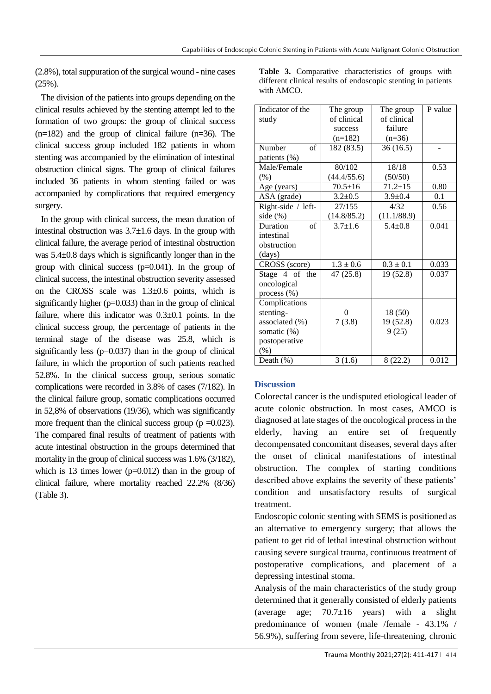(2.8%), total suppuration of the surgical wound - nine cases  $(25\%)$ .

The division of the patients into groups depending on the clinical results achieved by the stenting attempt led to the formation of two groups: the group of clinical success  $(n=182)$  and the group of clinical failure  $(n=36)$ . The clinical success group included 182 patients in whom stenting was accompanied by the elimination of intestinal obstruction clinical signs. The group of clinical failures included 36 patients in whom stenting failed or was accompanied by complications that required emergency surgery.

In the group with clinical success, the mean duration of intestinal obstruction was  $3.7\pm1.6$  days. In the group with clinical failure, the average period of intestinal obstruction was 5.4±0.8 days which is significantly longer than in the group with clinical success  $(p=0.041)$ . In the group of clinical success, the intestinal obstruction severity assessed on the CROSS scale was 1.3±0.6 points, which is significantly higher  $(p=0.033)$  than in the group of clinical failure, where this indicator was  $0.3\pm0.1$  points. In the clinical success group, the percentage of patients in the terminal stage of the disease was 25.8, which is significantly less  $(p=0.037)$  than in the group of clinical failure, in which the proportion of such patients reached 52.8%. In the clinical success group, serious somatic complications were recorded in 3.8% of cases (7/182). In the clinical failure group, somatic complications occurred in 52,8% of observations (19/36), which was significantly more frequent than the clinical success group ( $p = 0.023$ ). The compared final results of treatment of patients with acute intestinal obstruction in the groups determined that mortality in the group of clinical success was 1.6% (3/182), which is 13 times lower (p=0.012) than in the group of clinical failure, where mortality reached 22.2% (8/36) (Table 3).

**Table 3.** Comparative characteristics of groups with different clinical results of endoscopic stenting in patients with AMCO.

| Indicator of the     | The group     | The group     | P value |
|----------------------|---------------|---------------|---------|
| study                | of clinical   | of clinical   |         |
|                      | success       | failure       |         |
|                      | $(n=182)$     | $(n=36)$      |         |
| Number<br>$\alpha$ f | 182 (83.5)    | 36(16.5)      |         |
| patients (%)         |               |               |         |
| Male/Female          | 80/102        | 18/18         | 0.53    |
| (% )                 | (44.4/55.6)   | (50/50)       |         |
| Age (years)          | $70.5 \pm 16$ | $71.2 \pm 15$ | 0.80    |
| ASA (grade)          | $3.2 \pm 0.5$ | $3.9 \pm 0.4$ | 0.1     |
| Right-side / left-   | 27/155        | 4/32          | 0.56    |
| side $(\%)$          | (14.8/85.2)   | (11.1/88.9)   |         |
| of<br>Duration       | $3.7 \pm 1.6$ | $5.4 + 0.8$   | 0.041   |
| intestinal           |               |               |         |
| obstruction          |               |               |         |
| (days)               |               |               |         |
| CROSS (score)        | $1.3 \pm 0.6$ | $0.3 \pm 0.1$ | 0.033   |
| Stage 4 of the       | 47(25.8)      | 19 (52.8)     | 0.037   |
| oncological          |               |               |         |
| process (%)          |               |               |         |
| Complications        |               |               |         |
| stenting-            | 0             | 18(50)        |         |
| associated (%)       | 7(3.8)        | 19 (52.8)     | 0.023   |
| somatic (%)          |               | 9(25)         |         |
| postoperative        |               |               |         |
| (%)                  |               |               |         |
| Death $(\%)$         | 3(1.6)        | 8(22.2)       | 0.012   |

# **Discussion**

Colorectal cancer is the undisputed etiological leader of acute colonic obstruction. In most cases, AMCO is diagnosed at late stages of the oncological process in the elderly, having an entire set of frequently decompensated concomitant diseases, several days after the onset of clinical manifestations of intestinal obstruction. The complex of starting conditions described above explains the severity of these patients' condition and unsatisfactory results of surgical treatment.

Endoscopic colonic stenting with SEMS is positioned as an alternative to emergency surgery; that allows the patient to get rid of lethal intestinal obstruction without causing severe surgical trauma, continuous treatment of postoperative complications, and placement of a depressing intestinal stoma.

Analysis of the main characteristics of the study group determined that it generally consisted of elderly patients (average age;  $70.7\pm16$  years) with a slight predominance of women (male /female - 43.1% / 56.9%), suffering from severe, life-threatening, chronic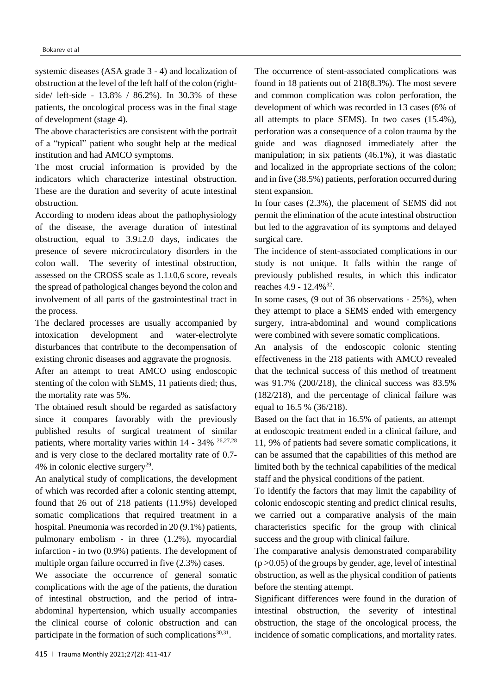systemic diseases (ASA grade 3 - 4) and localization of obstruction at the level of the left half of the colon (rightside/ left-side - 13.8% / 86.2%). In 30.3% of these patients, the oncological process was in the final stage of development (stage 4).

The above characteristics are consistent with the portrait of a "typical" patient who sought help at the medical institution and had AMCO symptoms.

The most crucial information is provided by the indicators which characterize intestinal obstruction. These are the duration and severity of acute intestinal obstruction.

According to modern ideas about the pathophysiology of the disease, the average duration of intestinal obstruction, equal to  $3.9\pm2.0$  days, indicates the presence of severe microcirculatory disorders in the colon wall. The severity of intestinal obstruction, assessed on the CROSS scale as 1.1±0,6 score, reveals the spread of pathological changes beyond the colon and involvement of all parts of the gastrointestinal tract in the process.

The declared processes are usually accompanied by intoxication development and water-electrolyte disturbances that contribute to the decompensation of existing chronic diseases and aggravate the prognosis.

After an attempt to treat AMCO using endoscopic stenting of the colon with SEMS, 11 patients died; thus, the mortality rate was 5%.

The obtained result should be regarded as satisfactory since it compares favorably with the previously published results of surgical treatment of similar patients, where mortality varies within 14 - 34% 26,27,28 and is very close to the declared mortality rate of 0.7- 4% in colonic elective surgery<sup>29</sup>.

An analytical study of complications, the development of which was recorded after a colonic stenting attempt, found that 26 out of 218 patients (11.9%) developed somatic complications that required treatment in a hospital. Pneumonia was recorded in 20 (9.1%) patients, pulmonary embolism - in three (1.2%), myocardial infarction - in two (0.9%) patients. The development of multiple organ failure occurred in five (2.3%) cases.

We associate the occurrence of general somatic complications with the age of the patients, the duration of intestinal obstruction, and the period of intraabdominal hypertension, which usually accompanies the clinical course of colonic obstruction and can participate in the formation of such complications $30,31$ .

The occurrence of stent-associated complications was found in 18 patients out of 218(8.3%). The most severe and common complication was colon perforation, the development of which was recorded in 13 cases (6% of all attempts to place SEMS). In two cases (15.4%), perforation was a consequence of a colon trauma by the guide and was diagnosed immediately after the manipulation; in six patients (46.1%), it was diastatic and localized in the appropriate sections of the colon; and in five (38.5%) patients, perforation occurred during stent expansion.

In four cases (2.3%), the placement of SEMS did not permit the elimination of the acute intestinal obstruction but led to the aggravation of its symptoms and delayed surgical care.

The incidence of stent-associated complications in our study is not unique. It falls within the range of previously published results, in which this indicator reaches 4.9 - 12.4%<sup>32</sup>.

In some cases, (9 out of 36 observations - 25%), when they attempt to place a SEMS ended with emergency surgery, intra-abdominal and wound complications were combined with severe somatic complications.

An analysis of the endoscopic colonic stenting effectiveness in the 218 patients with AMCO revealed that the technical success of this method of treatment was 91.7% (200/218), the clinical success was 83.5% (182/218), and the percentage of clinical failure was equal to 16.5 % (36/218).

Based on the fact that in 16.5% of patients, an attempt at endoscopic treatment ended in a clinical failure, and 11, 9% of patients had severe somatic complications, it can be assumed that the capabilities of this method are limited both by the technical capabilities of the medical staff and the physical conditions of the patient.

To identify the factors that may limit the capability of colonic endoscopic stenting and predict clinical results, we carried out a comparative analysis of the main characteristics specific for the group with clinical success and the group with clinical failure.

The comparative analysis demonstrated comparability  $(p > 0.05)$  of the groups by gender, age, level of intestinal obstruction, as well as the physical condition of patients before the stenting attempt.

Significant differences were found in the duration of intestinal obstruction, the severity of intestinal obstruction, the stage of the oncological process, the incidence of somatic complications, and mortality rates.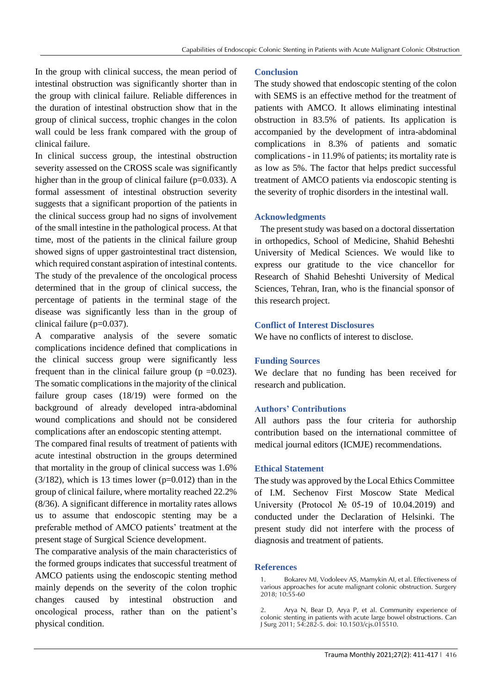In the group with clinical success, the mean period of intestinal obstruction was significantly shorter than in the group with clinical failure. Reliable differences in the duration of intestinal obstruction show that in the group of clinical success, trophic changes in the colon wall could be less frank compared with the group of clinical failure.

In clinical success group, the intestinal obstruction severity assessed on the CROSS scale was significantly higher than in the group of clinical failure ( $p=0.033$ ). A formal assessment of intestinal obstruction severity suggests that a significant proportion of the patients in the clinical success group had no signs of involvement of the small intestine in the pathological process. At that time, most of the patients in the clinical failure group showed signs of upper gastrointestinal tract distension, which required constant aspiration of intestinal contents. The study of the prevalence of the oncological process determined that in the group of clinical success, the percentage of patients in the terminal stage of the disease was significantly less than in the group of clinical failure (p=0.037).

A comparative analysis of the severe somatic complications incidence defined that complications in the clinical success group were significantly less frequent than in the clinical failure group ( $p = 0.023$ ). The somatic complications in the majority of the clinical failure group cases (18/19) were formed on the background of already developed intra-abdominal wound complications and should not be considered complications after an endoscopic stenting attempt.

The compared final results of treatment of patients with acute intestinal obstruction in the groups determined that mortality in the group of clinical success was 1.6%  $(3/182)$ , which is 13 times lower (p=0.012) than in the group of clinical failure, where mortality reached 22.2% (8/36). A significant difference in mortality rates allows us to assume that endoscopic stenting may be a preferable method of AMCO patients' treatment at the present stage of Surgical Science development.

The comparative analysis of the main characteristics of the formed groups indicates that successful treatment of AMCO patients using the endoscopic stenting method mainly depends on the severity of the colon trophic changes caused by intestinal obstruction and oncological process, rather than on the patient's physical condition.

# **Conclusion**

The study showed that endoscopic stenting of the colon with SEMS is an effective method for the treatment of patients with AMCO. It allows eliminating intestinal obstruction in 83.5% of patients. Its application is accompanied by the development of intra-abdominal complications in 8.3% of patients and somatic complications - in 11.9% of patients; its mortality rate is as low as 5%. The factor that helps predict successful treatment of AMCO patients via endoscopic stenting is the severity of trophic disorders in the intestinal wall.

## **Acknowledgments**

The present study was based on a doctoral dissertation in orthopedics, School of Medicine, Shahid Beheshti University of Medical Sciences. We would like to express our gratitude to the vice chancellor for Research of Shahid Beheshti University of Medical Sciences, Tehran, Iran, who is the financial sponsor of this research project.

#### **Conflict of Interest Disclosures**

We have no conflicts of interest to disclose.

#### **Funding Sources**

We declare that no funding has been received for research and publication.

#### **Authors' Contributions**

All authors pass the four criteria for authorship contribution based on the international committee of medical journal editors (ICMJE) recommendations.

#### **Ethical Statement**

The study was approved by the Local Ethics Committee of I.M. Sechenov First Moscow State Medical University (Protocol № 05-19 of 10.04.2019) and conducted under the Declaration of Helsinki. The present study did not interfere with the process of diagnosis and treatment of patients.

#### **References**

<sup>1.</sup> Bokarev MI, Vodoleev AS, Mamykin AI, et al. Effectiveness of various approaches for acute malignant colonic obstruction. Surgery 2018; 10:55-60

<sup>2.</sup> Arya N, Bear D, Arya P, et al. Community experience of colonic stenting in patients with acute large bowel obstructions. Can J Surg 2011; 54:282-5. doi: 10.1503/cjs.015510.